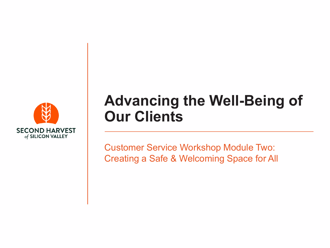

### **Advancing the Well-Being of Our Clients**

Customer Service Workshop Module Two: Creating a Safe & Welcoming Space for All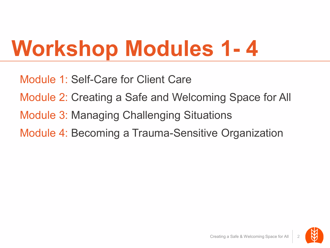### **Workshop Modules 1- 4**

Module 1: Self-Care for Client Care Module 2: Creating a Safe and Welcoming Space for All Module 3: Managing Challenging Situations Module 4: Becoming a Trauma-Sensitive Organization

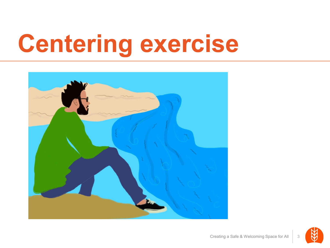# **Centering exercise**



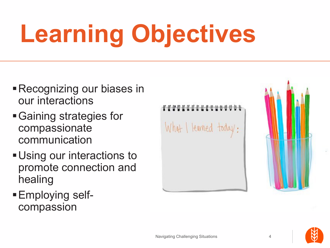# **Learning Objectives**

- Recognizing our biases in our interactions
- Gaining strategies for compassionate communication
- **Using our interactions to** promote connection and healing
- Employing selfcompassion

What I learned today:

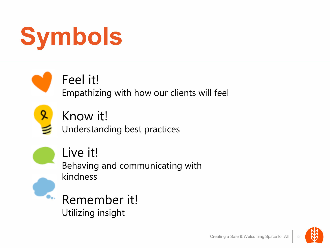



#### Feel it!

Empathizing with how our clients will feel



#### Know it!

Understanding best practices



#### Live it!

Behaving and communicating with kindness

**Remember it!** Utilizing insight



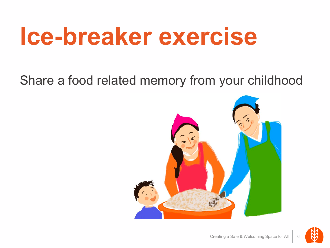### **Ice-breaker exercise**

#### Share a food related memory from your childhood



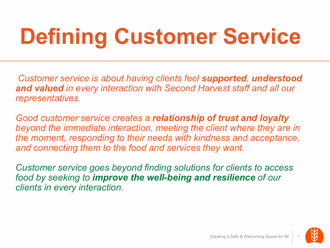### **Defining Customer Service**

*Customer service is about having clients feel supported, understood and valued in every interaction with Second Harvest staff and all our representatives.*

*Good customer service creates a relationship of trust and loyalty beyond the immediate interaction, meeting the client where they are in the moment, responding to their needs with kindness and acceptance, and connecting them to the food and services they want.*

*Customer service goes beyond finding solutions for clients to access food by seeking to improve the well-being and resilience of our clients in every interaction.*

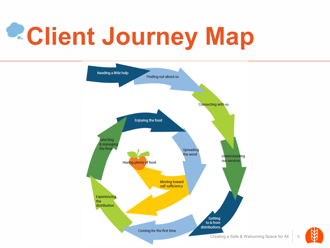# **Client Journey Map**

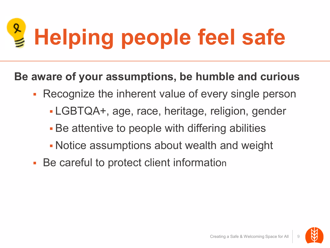# **Helping people feel safe**

**Be aware of your assumptions, be humble and curious**

- **Recognize the inherent value of every single person** 
	- LGBTQA+, age, race, heritage, religion, gender
	- Be attentive to people with differing abilities
	- Notice assumptions about wealth and weight
- **Be careful to protect client information**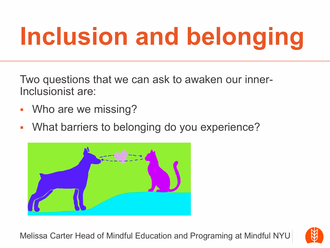# **Inclusion and belonging**

Two questions that we can ask to awaken our inner-Inclusionist are:

- Who are we missing?
- **Nhat barriers to belonging do you experience?**



Melissa Carter Head of Mindful Education and Programing at Mindful NYU

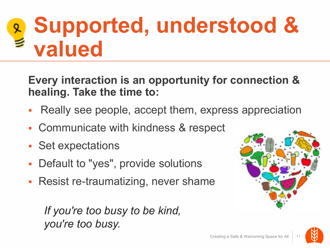### **Supported, understood & valued**

**Every interaction is an opportunity for connection & healing. Take the time to:**

- Really see people, accept them, express appreciation
- Communicate with kindness & respect
- **Set expectations**
- Default to "yes", provide solutions
- **Resist re-traumatizing, never shame**

#### *If you're too busy to be kind, you're too busy.*

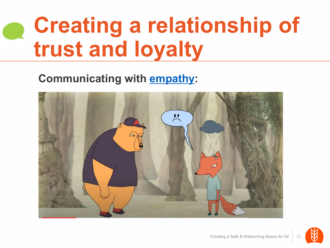### **Creating a relationship of trust and loyalty**

#### **Communicating with [empathy:](https://www.youtube.com/watch/KZBTYViDPlQ)**



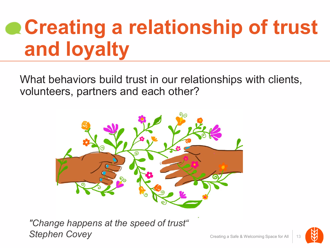### **Creating a relationship of trust and loyalty**

What behaviors build trust in our relationships with clients, volunteers, partners and each other?



*"Change happens at the speed of trust" Stephen Covey*

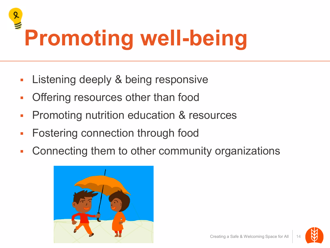# **Promoting well-being**

- **Listening deeply & being responsive**
- **Offering resources other than food**
- **Promoting nutrition education & resources**
- **Fostering connection through food**
- Connecting them to other community organizations



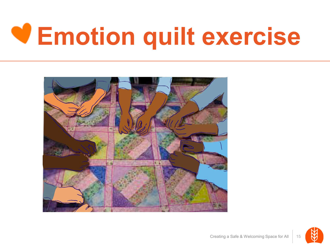# **Emotion quilt exercise**

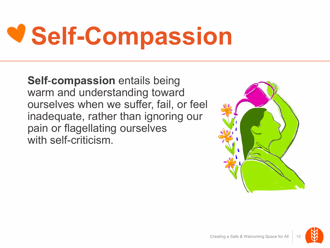# **Self-Compassion**

**Self**-**compassion** entails being warm and understanding toward ourselves when we suffer, fail, or feel inadequate, rather than ignoring our pain or flagellating ourselves with self-criticism.



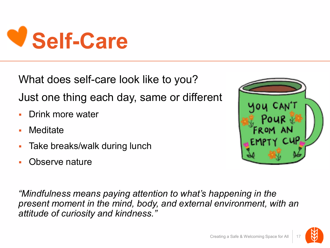

What does self-care look like to you?

Just one thing each day, same or different

- **Drink more water**
- Meditate
- **Take breaks/walk during lunch**
- Observe nature

*"Mindfulness means paying attention to what's happening in the present moment in the mind, body, and external environment, with an attitude of curiosity and kindness."*



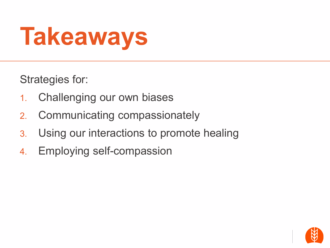# **Takeaways**

Strategies for:

- 1. Challenging our own biases
- 2. Communicating compassionately
- 3. Using our interactions to promote healing
- 4. Employing self-compassion